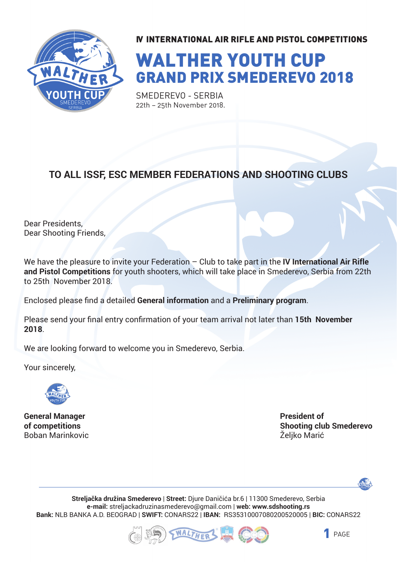

# WALTHER YOUTH CUP GRAND PRIX SMEDEREVO 2018

SMEDEREVO - SERBIA 22th – 25th November 2018.

#### **TO ALL ISSF, ESC MEMBER FEDERATIONS AND SHOOTING CLUBS**

Dear Presidents, Dear Shooting Friends,

We have the pleasure to invite your Federation – Club to take part in the **IV International Air Rifle and Pistol Competitions** for youth shooters, which will take place in Smederevo, Serbia from 22th to 25th November 2018.

Enclosed please find a detailed **General information** and a **Preliminary program**.

Please send your final entry confirmation of your team arrival not later than **15th November 2018**.

We are looking forward to welcome you in Smederevo, Serbia.

Your sincerely,



**General Manager of competitions** Boban Marinkovic **President of Shooting club Smederevo** Željko Marić



**Streljačka družina Smederevo** | **Street:** Djure Daničića br.6 | 11300 Smederevo, Serbia **e-mail:** streljackadruzinasmederevo@gmail.com | **web: www.sdshooting.rs Bank:** NLB BANKA A.D. BEOGRAD | **SWIFT:** CONARS22 | **IBAN:** RS35310007080200520005 | **BIC:** CONARS22



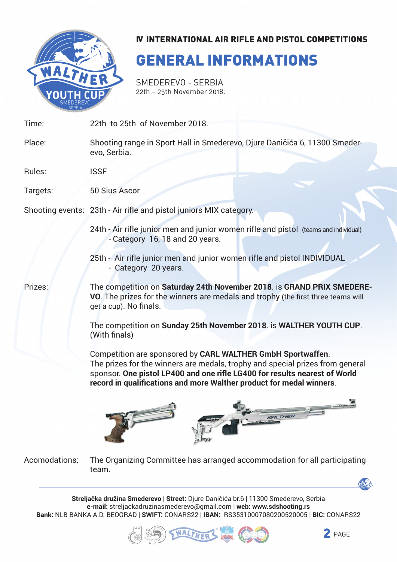

## GENERAL INFORMATIONS

Smederevo - Serbia 22th – 25th November 2018.

| Time:    | 22th to 25th of November 2018.                                                                                                                                                                                                                                                                     |  |  |
|----------|----------------------------------------------------------------------------------------------------------------------------------------------------------------------------------------------------------------------------------------------------------------------------------------------------|--|--|
| Place:   | Shooting range in Sport Hall in Smederevo, Djure Daničića 6, 11300 Smeder-<br>evo, Serbia.                                                                                                                                                                                                         |  |  |
| Rules:   | <b>ISSF</b>                                                                                                                                                                                                                                                                                        |  |  |
| Targets: | 50 Sius Ascor                                                                                                                                                                                                                                                                                      |  |  |
|          | Shooting events: 23th - Air rifle and pistol juniors MIX category.                                                                                                                                                                                                                                 |  |  |
|          | 24th - Air rifle junior men and junior women rifle and pistol (teams and individual)<br>- Category 16, 18 and 20 years.                                                                                                                                                                            |  |  |
|          | 25th - Air rifle junior men and junior women rifle and pistol INDIVIDUAL<br>- Category 20 years.                                                                                                                                                                                                   |  |  |
| Prizes:  | The competition on Saturday 24th November 2018. is GRAND PRIX SMEDERE-<br>VO. The prizes for the winners are medals and trophy (the first three teams will<br>get a cup). No finals.                                                                                                               |  |  |
|          | The competition on Sunday 25th November 2018. is WALTHER YOUTH CUP.<br>(With finals)                                                                                                                                                                                                               |  |  |
|          | Competition are sponsored by CARL WALTHER GmbH Sportwaffen.<br>The prizes for the winners are medals, trophy and special prizes from general<br>sponsor. One pistol LP400 and one rifle LG400 for results nearest of World<br>record in qualifications and more Walther product for medal winners. |  |  |
|          |                                                                                                                                                                                                                                                                                                    |  |  |



The Organizing Committee has arranged accommodation for all participating team. Acomodations:

**Streljačka družina Smederevo** | **Street:** Djure Daničića br.6 | 11300 Smederevo, Serbia **e-mail:** streljackadruzinasmederevo@gmail.com | **web: www.sdshooting.rs Bank:** NLB BANKA A.D. BEOGRAD | **SWIFT:** CONARS22 | **IBAN:** RS35310007080200520005 | **BIC:** CONARS22



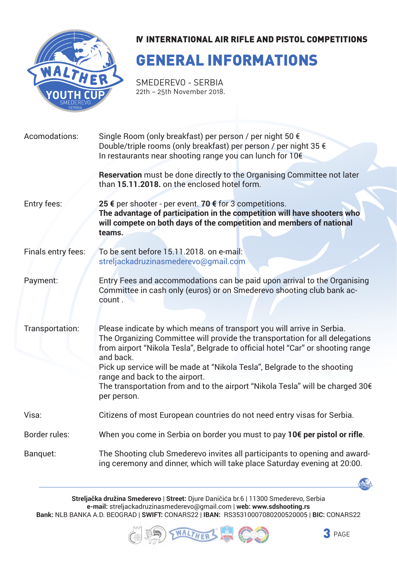

## GENERAL INFORMATIONS

SMEDEREVO - SERBIA 22th – 25th November 2018.

| Acomodations:      | Single Room (only breakfast) per person / per night 50 €<br>Double/triple rooms (only breakfast) per person / per night 35 €<br>In restaurants near shooting range you can lunch for 10€<br>Reservation must be done directly to the Organising Committee not later                                                                                                                                                                                                  |  |  |
|--------------------|----------------------------------------------------------------------------------------------------------------------------------------------------------------------------------------------------------------------------------------------------------------------------------------------------------------------------------------------------------------------------------------------------------------------------------------------------------------------|--|--|
|                    | than 15.11.2018, on the enclosed hotel form.                                                                                                                                                                                                                                                                                                                                                                                                                         |  |  |
| Entry fees:        | 25 € per shooter - per event. 70 € for 3 competitions.<br>The advantage of participation in the competition will have shooters who<br>will compete on both days of the competition and members of national<br>teams.                                                                                                                                                                                                                                                 |  |  |
| Finals entry fees: | To be sent before 15.11.2018, on e-mail:<br>streljackadruzinasmederevo@gmail.com                                                                                                                                                                                                                                                                                                                                                                                     |  |  |
| Payment:           | Entry Fees and accommodations can be paid upon arrival to the Organising<br>Committee in cash only (euros) or on Smederevo shooting club bank ac-<br>count.                                                                                                                                                                                                                                                                                                          |  |  |
| Transportation:    | Please indicate by which means of transport you will arrive in Serbia.<br>The Organizing Committee will provide the transportation for all delegations<br>from airport "Nikola Tesla", Belgrade to official hotel "Car" or shooting range<br>and back.<br>Pick up service will be made at "Nikola Tesla", Belgrade to the shooting<br>range and back to the airport.<br>The transportation from and to the airport "Nikola Tesla" will be charged 30€<br>per person. |  |  |
| Visa:              | Citizens of most European countries do not need entry visas for Serbia.                                                                                                                                                                                                                                                                                                                                                                                              |  |  |
| Border rules:      | When you come in Serbia on border you must to pay 10€ per pistol or rifle.                                                                                                                                                                                                                                                                                                                                                                                           |  |  |
| Banquet:           | The Shooting club Smederevo invites all participants to opening and award-<br>ing ceremony and dinner, which will take place Saturday evening at 20:00.                                                                                                                                                                                                                                                                                                              |  |  |

**Streljačka družina Smederevo** | **Street:** Djure Daničića br.6 | 11300 Smederevo, Serbia **e-mail:** streljackadruzinasmederevo@gmail.com | **web: www.sdshooting.rs Bank:** NLB BANKA A.D. BEOGRAD | **SWIFT:** CONARS22 | **IBAN:** RS35310007080200520005 | **BIC:** CONARS22





WALTHER